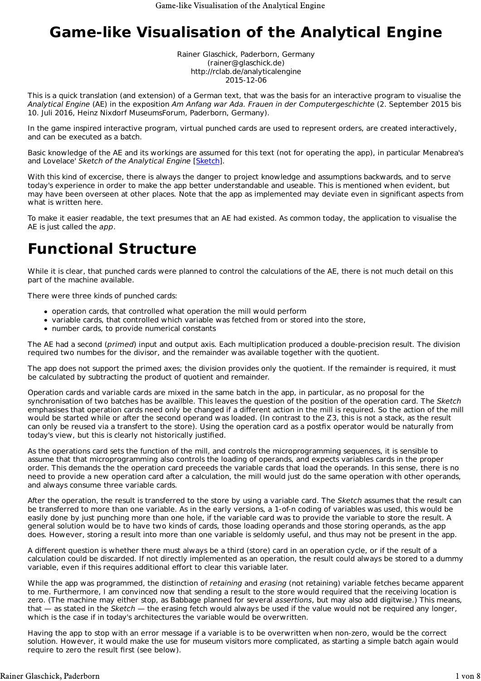# **Game-like Visualisation of the Analytical Engine**

Rainer Glaschick, Paderborn, Germany (rainer@glaschick.de) http://rclab.de/analyticalengine 2015-12-06

This is a quick translation (and extension) of a German text, that was the basis for an interactive program to visualise the *Analytical Engine* (AE) in the exposition *Am Anfang war Ada. Frauen in der Computergeschichte* (2. September 2015 bis 10. Juli 2016, Heinz Nixdorf MuseumsForum, Paderborn, Germany).

In the game inspired interactive program, virtual punched cards are used to represent orders, are created interactively, and can be executed as a batch.

Basic knowledge of the AE and its workings are assumed for this text (not for operating the app), in particular Menabrea's and Lovelace' *Sketch of the Analytical Engine* [Sketch].

With this kind of excercise, there is always the danger to project knowledge and assumptions backwards, and to serve today's experience in order to make the app better understandable and useable. This is mentioned when evident, but may have been overseen at other places. Note that the app as implemented may deviate even in significant aspects from what is written here.

To make it easier readable, the text presumes that an AE had existed. As common today, the application to visualise the AE is just called the *app*.

# **Functional Structure**

While it is clear, that punched cards were planned to control the calculations of the AE, there is not much detail on this part of the machine available.

There were three kinds of punched cards:

- operation cards, that controlled what operation the mill would perform
- variable cards, that controlled which variable was fetched from or stored into the store,
- number cards, to provide numerical constants

The AE had a second (*primed*) input and output axis. Each multiplication produced a double-precision result. The division required two numbes for the divisor, and the remainder was available together with the quotient.

The app does not support the primed axes; the division provides only the quotient. If the remainder is required, it must be calculated by subtracting the product of quotient and remainder.

Operation cards and variable cards are mixed in the same batch in the app, in particular, as no proposal for the synchronisation of two batches has be availble. This leaves the question of the position of the operation card. The *Sketch* emphasises that operation cards need only be changed if a different action in the mill is required. So the action of the mill would be started while or after the second operand was loaded. (In contrast to the Z3, this is not a stack, as the result can only be reused via a transfert to the store). Using the operation card as a postfix operator would be naturally from today's view, but this is clearly not historically justified.

As the operations card sets the function of the mill, and controls the microprogramming sequences, it is sensible to assume that that microprogramming also controls the loading of operands, and expects variables cards in the proper order. This demands the the operation card preceeds the variable cards that load the operands. In this sense, there is no need to provide a new operation card after a calculation, the mill would just do the same operation with other operands, and always consume three variable cards.

After the operation, the result is transferred to the store by using a variable card. The *Sketch* assumes that the result can be transferred to more than one variable. As in the early versions, a 1-of-n coding of variables was used, this would be easily done by just punching more than one hole, if the variable card was to provide the variable to store the result. A general solution would be to have two kinds of cards, those loading operands and those storing operands, as the app does. However, storing a result into more than one variable is seldomly useful, and thus may not be present in the app.

A different question is whether there must always be a third (store) card in an operation cycle, or if the result of a calculation could be discarded. If not directly implemented as an operation, the result could always be stored to a dummy variable, even if this requires additional effort to clear this variable later.

While the app was programmed, the distinction of *retaining* and *erasing* (not retaining) variable fetches became apparent to me. Furthermore, I am convinced now that sending a result to the store would required that the receiving location is zero. (The machine may either stop, as Babbage planned for several *assertions*, but may also add digitwise.) This means, that — as stated in the *Sketch* — the erasing fetch would always be used if the value would not be required any longer, which is the case if in today's architectures the variable would be overwritten.

Having the app to stop with an error message if a variable is to be overwritten when non-zero, would be the correct solution. However, it would make the use for museum visitors more complicated, as starting a simple batch again would require to zero the result first (see below).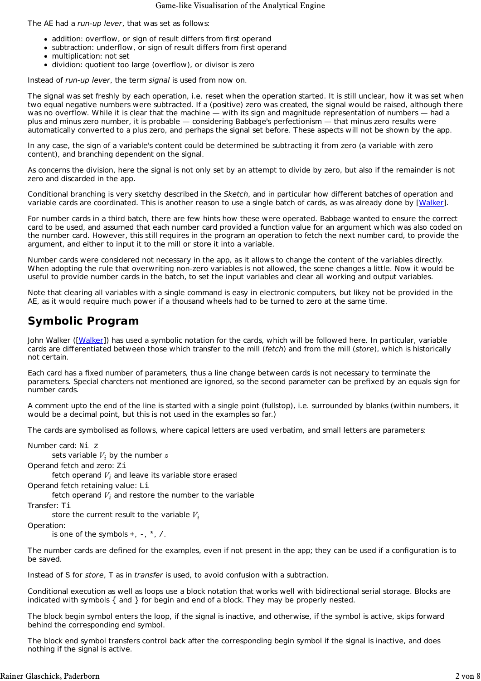#### Game-like Visualisation of the Analytical Engine

The AE had a *run-up lever*, that was set as follows:

- addition: overflow, or sign of result differs from first operand
- subtraction: underflow, or sign of result differs from first operand
- multiplication: not set
- dividion: quotient too large (overflow), or divisor is zero

Instead of *run-up lever*, the term *signal* is used from now on.

The signal was set freshly by each operation, i.e. reset when the operation started. It is still unclear, how it was set when two equal negative numbers were subtracted. If a (positive) zero was created, the signal would be raised, although there was no overflow. While it is clear that the machine — with its sign and magnitude representation of numbers — had a plus and minus zero number, it is probable — considering Babbage's perfectionism — that minus zero results were automatically converted to a plus zero, and perhaps the signal set before. These aspects will not be shown by the app.

In any case, the sign of a variable's content could be determined be subtracting it from zero (a variable with zero content), and branching dependent on the signal.

As concerns the division, here the signal is not only set by an attempt to divide by zero, but also if the remainder is not zero and discarded in the app.

Conditional branching is very sketchy described in the *Sketch*, and in particular how different batches of operation and variable cards are coordinated. This is another reason to use a single batch of cards, as was already done by [Walker].

For number cards in a third batch, there are few hints how these were operated. Babbage wanted to ensure the correct card to be used, and assumed that each number card provided a function value for an argument which was also coded on the number card. However, this still requires in the program an operation to fetch the next number card, to provide the argument, and either to input it to the mill or store it into a variable.

Number cards were considered not necessary in the app, as it allows to change the content of the variables directly. When adopting the rule that overwriting non-zero variables is not allowed, the scene changes a little. Now it would be useful to provide number cards in the batch, to set the input variables and clear all working and output variables.

Note that clearing all variables with a single command is easy in electronic computers, but likey not be provided in the AE, as it would require much power if a thousand wheels had to be turned to zero at the same time.

## **Symbolic Program**

John Walker ([Walker]) has used a symbolic notation for the cards, which will be followed here. In particular, variable cards are differentiated between those which transfer to the mill (*fetch*) and from the mill (*store*), which is historically not certain.

Each card has a fixed number of parameters, thus a line change between cards is not necessary to terminate the parameters. Special charcters not mentioned are ignored, so the second parameter can be prefixed by an equals sign for number cards.

A comment upto the end of the line is started with a single point (fullstop), i.e. surrounded by blanks (within numbers, it would be a decimal point, but this is not used in the examples so far.)

The cards are symbolised as follows, where capical letters are used verbatim, and small letters are parameters:

Number card: Ni z sets variable  $V_i$  by the number  $z$ Operand fetch and zero: Zi fetch operand  $V_i$  and leave its variable store erased Operand fetch retaining value: Li fetch operand  $V_i$  and restore the number to the variable Transfer: Ti store the current result to the variable *Vi* Operation: is one of the symbols  $+$ ,  $-$ ,  $*$ ,  $/$ .

The number cards are defined for the examples, even if not present in the app; they can be used if a configuration is to be saved.

Instead of S for *store*, T as in *transfer* is used, to avoid confusion with a subtraction.

Conditional execution as well as loops use a block notation that works well with bidirectional serial storage. Blocks are indicated with symbols { and } for begin and end of a block. They may be properly nested.

The block begin symbol enters the loop, if the signal is inactive, and otherwise, if the symbol is active, skips forward behind the corresponding end symbol.

The block end symbol transfers control back after the corresponding begin symbol if the signal is inactive, and does nothing if the signal is active.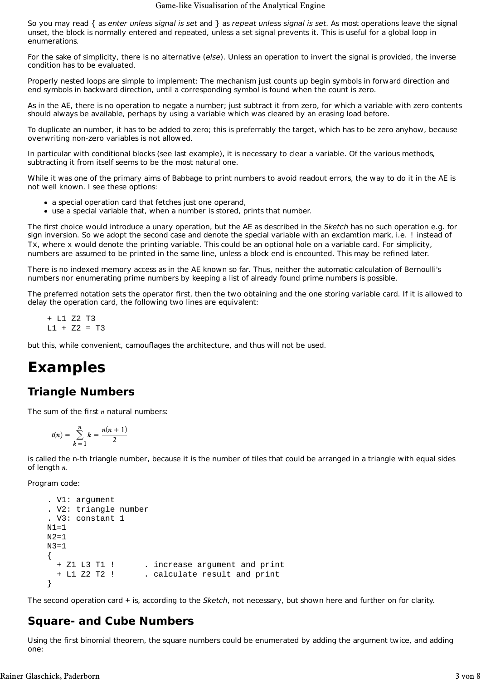So you may read { as *enter unless signal is set* and } as *repeat unless signal is set*. As most operations leave the signal unset, the block is normally entered and repeated, unless a set signal prevents it. This is useful for a global loop in enumerations.

For the sake of simplicity, there is no alternative (*else*). Unless an operation to invert the signal is provided, the inverse condition has to be evaluated.

Properly nested loops are simple to implement: The mechanism just counts up begin symbols in forward direction and end symbols in backward direction, until a corresponding symbol is found when the count is zero.

As in the AE, there is no operation to negate a number; just subtract it from zero, for which a variable with zero contents should always be available, perhaps by using a variable which was cleared by an erasing load before.

To duplicate an number, it has to be added to zero; this is preferrably the target, which has to be zero anyhow, because overwriting non-zero variables is not allowed.

In particular with conditional blocks (see last example), it is necessary to clear a variable. Of the various methods, subtracting it from itself seems to be the most natural one.

While it was one of the primary aims of Babbage to print numbers to avoid readout errors, the way to do it in the AE is not well known. I see these options:

- a special operation card that fetches just one operand,
- use a special variable that, when a number is stored, prints that number.

The first choice would introduce a unary operation, but the AE as described in the *Sketch* has no such operation e.g. for sign inversion. So we adopt the second case and denote the special variable with an exclamtion mark, i.e. ! instead of Tx, where x would denote the printing variable. This could be an optional hole on a variable card. For simplicity, numbers are assumed to be printed in the same line, unless a block end is encounted. This may be refined later.

There is no indexed memory access as in the AE known so far. Thus, neither the automatic calculation of Bernoulli's numbers nor enumerating prime numbers by keeping a list of already found prime numbers is possible.

The preferred notation sets the operator first, then the two obtaining and the one storing variable card. If it is allowed to delay the operation card, the following two lines are equivalent:

 + L1 Z2 T3  $L1 + Z2 = T3$ 

but this, while convenient, camouflages the architecture, and thus will not be used.

# **Examples**

## **Triangle Numbers**

The sum of the first *n* natural numbers:

$$
t(n) = \sum_{k=1}^{n} k = \frac{n(n+1)}{2}
$$

is called the n-th triangle number, because it is the number of tiles that could be arranged in a triangle with equal sides of length *n*.

Program code:

```
 . V1: argument
 . V2: triangle number
 . V3: constant 1
N1=1N2 = 1N3=1 {
   + Z1 L3 T1 ! . increase argument and print
   + L1 Z2 T2 ! . calculate result and print
 }
```
The second operation card + is, according to the *Sketch*, not necessary, but shown here and further on for clarity.

## **Square- and Cube Numbers**

Using the first binomial theorem, the square numbers could be enumerated by adding the argument twice, and adding one: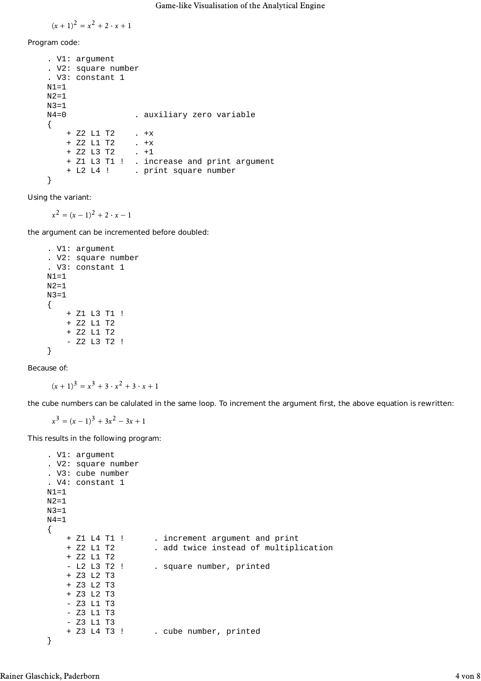$$
(x + 1)^2 = x^2 + 2 \cdot x + 1
$$

Program code:

```
 . V1: argument
 . V2: square number
 . V3: constant 1
N1=1N2=1N3=1<br>N4=0
                  . auxiliary zero variable
 {
     + Z2 L1 T2 . +x
     + Z2 L1 T2 . +x
    + Z2 L3 T2
     + Z1 L3 T1 ! . increase and print argument
     + L2 L4 ! . print square number
 }
```
Using the variant:

 $x^2 = (x - 1)^2 + 2 \cdot x - 1$ 

the argument can be incremented before doubled:

```
 . V1: argument
 . V2: square number
 . V3: constant 1
 N1=1
 N2=1
 N3=1
 {
     + Z1 L3 T1 !
     + Z2 L1 T2
     + Z2 L1 T2
      - Z2 L3 T2 !
 }
```
Because of:

$$
(x + 1)3 = x3 + 3 \cdot x2 + 3 \cdot x + 1
$$

the cube numbers can be calulated in the same loop. To increment the argument first, the above equation is rewritten:

 $x^3 = (x - 1)^3 + 3x^2 - 3x + 1$ 

This results in the following program:

```
 . V1: argument
 . V2: square number
 . V3: cube number
 . V4: constant 1
N1=1N2=1 N3=1
N4 = 1 {
     + Z1 L4 T1 ! . increment argument and print
                      . add twice instead of multiplication
     + Z2 L1 T2
    - L2 L3 T2 ! . square number, printed
     + Z3 L2 T3
     + Z3 L2 T3
     + Z3 L2 T3
     - Z3 L1 T3
     - Z3 L1 T3
     - Z3 L1 T3
     + Z3 L4 T3 ! . cube number, printed
 }
```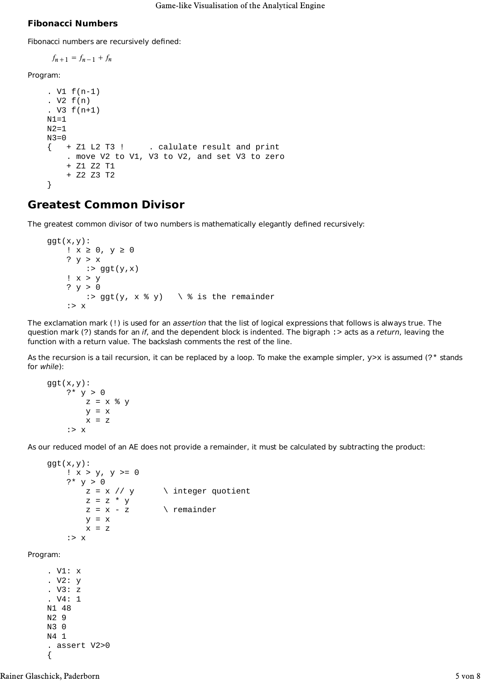#### **Fibonacci Numbers**

Fibonacci numbers are recursively defined:

```
f_{n+1} = f_{n-1} + f_n
```
Program:

```
 . V1 f(n-1)
. V2 f(n) . V3 f(n+1)
N1=1N2 = 1 N3=0
\{ +21 \text{ L2 T3 } : \text{ calculate result and print} \} . move V2 to V1, V3 to V2, and set V3 to zero
     + Z1 Z2 T1
     + Z2 Z3 T2
 }
```
## **Greatest Common Divisor**

The greatest common divisor of two numbers is mathematically elegantly defined recursively:

```
ggt(x,y):
     ! x ≥ 0, y ≥ 0
     ? y > x
        :> ggt(y,x)
     ! x > y
    ? y > 0:> ggt(y, x % y) \ % is the remainder
     :> x
```
The exclamation mark (!) is used for an *assertion* that the list of logical expressions that follows is always true. The question mark (?) stands for an *if*, and the dependent block is indented. The bigraph :> acts as a *return*, leaving the function with a return value. The backslash comments the rest of the line.

As the recursion is a tail recursion, it can be replaced by a loop. To make the example simpler,  $y \ge x$  is assumed (?\* stands for *while*):

```
ggt(x,y):
   ?* y > 0z = x % yy = xx = z :> x
```
As our reduced model of an AE does not provide a remainder, it must be calculated by subtracting the product:

```
ggt(x,y):
    ! x > y, y >= 0?* y > 0z = x \text{ // } y \ integer quotient
         z = z * y<br>z = x - z\setminus remainder
         v = xx = z :> x
```
Program:

 . V1: x . V2: y . V3: z . V4: 1 N1 48 N2 9 N3 0 N4 1 . assert V2>0 {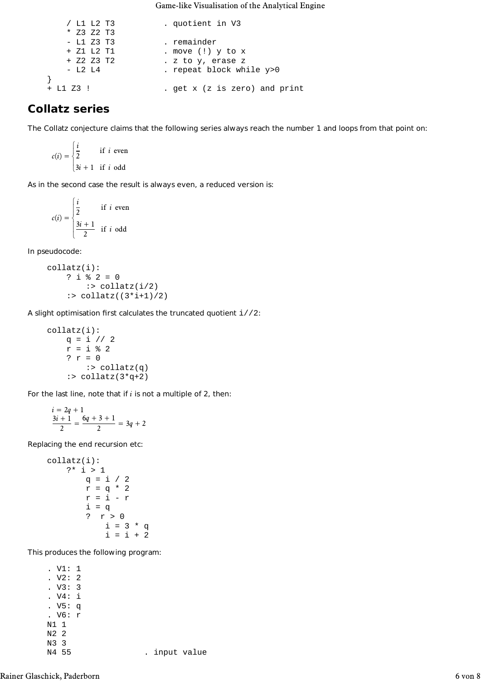Game-like Visualisation of the Analytical Engine

| / L1 L2 T3   | . quotient in V3                               |
|--------------|------------------------------------------------|
| $*$ Z3 Z2 T3 |                                                |
| - L1 Z3 T3   | . remainder                                    |
| + Z1 L2 T1   | . move (!) $y$ to $x$                          |
| $+ 22 23 12$ | . z to y, erase z                              |
| $-L2 L4$     | . repeat block while y>0                       |
|              |                                                |
| $+$ L1 Z3 !  | . $get \times (z \text{ is zero})$ and $print$ |

## **Collatz series**

The Collatz conjecture claims that the following series always reach the number 1 and loops from that point on:

$$
c(i) = \begin{cases} \frac{i}{2} & \text{if } i \text{ even} \\ 3i + 1 & \text{if } i \text{ odd} \end{cases}
$$

As in the second case the result is always even, a reduced version is:

$$
c(i) = \begin{cases} \frac{i}{2} & \text{if } i \text{ even} \\ \frac{3i+1}{2} & \text{if } i \text{ odd} \end{cases}
$$

In pseudocode:

$$
\begin{array}{rcl} \text{collatz(i):} \\ ? & \text{i} \ \text{\% 2 = 0} \\ & \text{: } \text{collatz(i/2)} \\ & \text{: } \text{collatz((3*i+1)/2)} \end{array}
$$

A slight optimisation first calculates the truncated quotient i//2:

 collatz(i): q = i // 2 r = i % 2 ? r = 0 :> collatz(q) :> collatz(3\*q+2)

For the last line, note that if *i* is not a multiple of 2, then:

$$
\frac{i = 2q + 1}{2} = \frac{6q + 3 + 1}{2} = 3q + 2
$$

Replacing the end recursion etc:

| collatz(i): |         |
|-------------|---------|
| $?$         | $?$     |
| $?$         | $1$     |
| $q = i / 2$ |         |
| $r = q * 2$ |         |
| $r = i - r$ |         |
| $i = q$     |         |
| $?$         | $r > 0$ |
| $i = 3 * q$ |         |
| $i = i + 2$ |         |

This produces the following program:

 . V1: 1 . V2: 2 . V3: 3 . V4: i . V5: q . V6: r N1 1 N2 2 N3 3<br>N4 55 . input value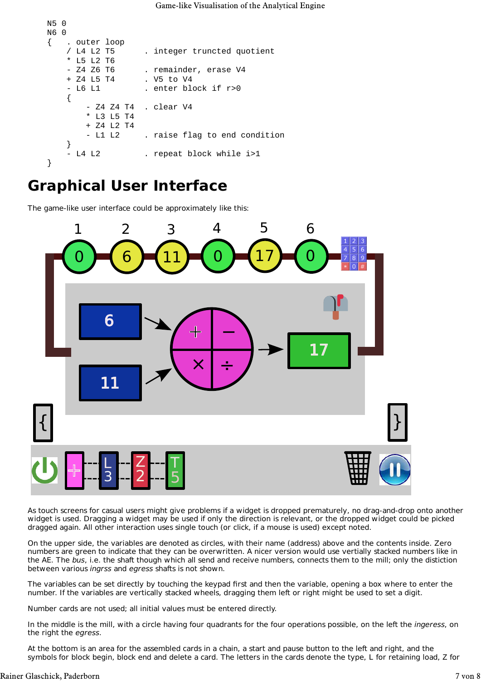```
 N5 0
 N6 0
 { . outer loop
     / L4 L2 T5 . integer truncted quotient
     L5 L2 T6
    - Z4 Z6 T6 . remainder, erase V4
    + Z4 L5 T4 . V5 to V4
     - L6 L1 . enter block if r>0
    {
        - Z4 Z4 T4 . clear V4
        * L3 L5 T4
        + Z4 L2 T4
        - L1 L2 . raise flag to end condition
    }
    L4 L2 . repeat block while i>1
 }
```
## **Graphical User Interface**

The game-like user interface could be approximately like this:



As touch screens for casual users might give problems if a widget is dropped prematurely, no drag-and-drop onto another widget is used. Dragging a widget may be used if only the direction is relevant, or the dropped widget could be picked dragged again. All other interaction uses single touch (or click, if a mouse is used) except noted.

On the upper side, the variables are denoted as circles, with their name (address) above and the contents inside. Zero numbers are green to indicate that they can be overwritten. A nicer version would use vertially stacked numbers like in the AE. The *bus*, i.e. the shaft though which all send and receive numbers, connects them to the mill; only the distiction between various *ingrss* and *egress* shafts is not shown.

The variables can be set directly by touching the keypad first and then the variable, opening a box where to enter the number. If the variables are vertically stacked wheels, dragging them left or right might be used to set a digit.

Number cards are not used; all initial values must be entered directly.

In the middle is the mill, with a circle having four quadrants for the four operations possible, on the left the *ingeress*, on the right the *egress*.

At the bottom is an area for the assembled cards in a chain, a start and pause button to the left and right, and the symbols for block begin, block end and delete a card. The letters in the cards denote the type, L for retaining load, Z for